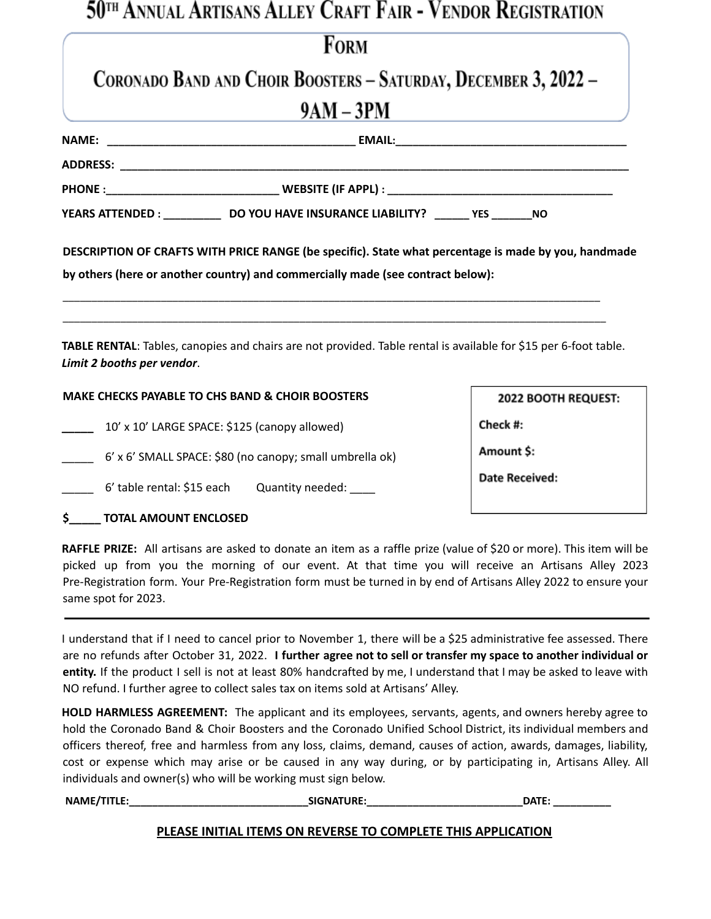### 50<sup>th</sup> Annual Artisans Alley Craft Fair - Vendor Registration

|                                                             | <b>FORM</b>                                                                                                                                                                             |                            |  |
|-------------------------------------------------------------|-----------------------------------------------------------------------------------------------------------------------------------------------------------------------------------------|----------------------------|--|
|                                                             | CORONADO BAND AND CHOIR BOOSTERS - SATURDAY, DECEMBER 3, 2022 -                                                                                                                         |                            |  |
|                                                             | $9AM - 3PM$                                                                                                                                                                             |                            |  |
|                                                             |                                                                                                                                                                                         |                            |  |
|                                                             |                                                                                                                                                                                         |                            |  |
|                                                             |                                                                                                                                                                                         |                            |  |
|                                                             | YEARS ATTENDED : _______________ DO YOU HAVE INSURANCE LIABILITY? ________ YES _________ NO                                                                                             |                            |  |
|                                                             | DESCRIPTION OF CRAFTS WITH PRICE RANGE (be specific). State what percentage is made by you, handmade<br>by others (here or another country) and commercially made (see contract below): |                            |  |
| Limit 2 booths per vendor.                                  | TABLE RENTAL: Tables, canopies and chairs are not provided. Table rental is available for \$15 per 6-foot table.                                                                        |                            |  |
| <b>MAKE CHECKS PAYABLE TO CHS BAND &amp; CHOIR BOOSTERS</b> |                                                                                                                                                                                         | <b>2022 BOOTH REQUEST:</b> |  |
| 10' x 10' LARGE SPACE: \$125 (canopy allowed)               |                                                                                                                                                                                         | Check #:                   |  |
| 6' x 6' SMALL SPACE: \$80 (no canopy; small umbrella ok)    |                                                                                                                                                                                         | Amount \$:                 |  |
|                                                             |                                                                                                                                                                                         | <b>Date Received:</b>      |  |
| \$ TOTAL AMOUNT ENCLOSED                                    |                                                                                                                                                                                         |                            |  |

**RAFFLE PRIZE:** All artisans are asked to donate an item as a raffle prize (value of \$20 or more). This item will be picked up from you the morning of our event. At that time you will receive an Artisans Alley 2023 Pre-Registration form. Your Pre-Registration form must be turned in by end of Artisans Alley 2022 to ensure your same spot for 2023.

I understand that if I need to cancel prior to November 1, there will be a \$25 administrative fee assessed. There are no refunds after October 31, 2022. **I further agree not to sell or transfer my space to another individual or entity.** If the product I sell is not at least 80% handcrafted by me, I understand that I may be asked to leave with NO refund. I further agree to collect sales tax on items sold at Artisans' Alley.

**HOLD HARMLESS AGREEMENT:** The applicant and its employees, servants, agents, and owners hereby agree to hold the Coronado Band & Choir Boosters and the Coronado Unified School District, its individual members and officers thereof, free and harmless from any loss, claims, demand, causes of action, awards, damages, liability, cost or expense which may arise or be caused in any way during, or by participating in, Artisans Alley. All individuals and owner(s) who will be working must sign below.

| NAME/TITLE | <b>ICNIATIIDE</b> | ----<br>. |
|------------|-------------------|-----------|
|            |                   |           |

#### **PLEASE INITIAL ITEMS ON REVERSE TO COMPLETE THIS APPLICATION**